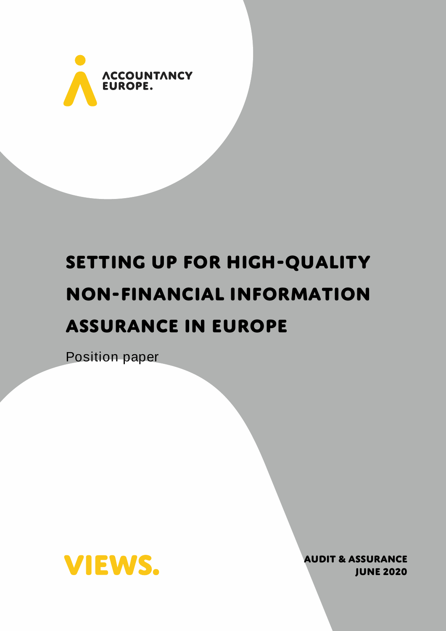

# **Setting up for high-quality non-financial information assurance in Europe**

Position paper



**AUDIT & ASSURANCE june 2020**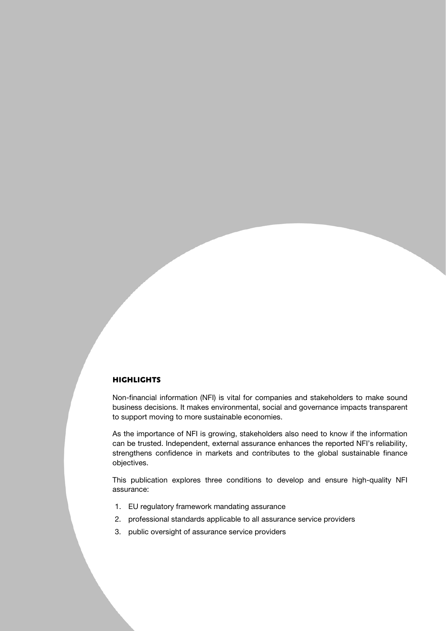## **Highlights**

Non-financial information (NFI) is vital for companies and stakeholders to make sound business decisions. It makes environmental, social and governance impacts transparent to support moving to more sustainable economies.

As the importance of NFI is growing, stakeholders also need to know if the information can be trusted. Independent, external assurance enhances the reported NFI's reliability, strengthens confidence in markets and contributes to the global sustainable finance objectives.

This publication explores three conditions to develop and ensure high-quality NFI assurance:

- 1. EU regulatory framework mandating assurance
- 2. professional standards applicable to all assurance service providers
- 3. public oversight of assurance service providers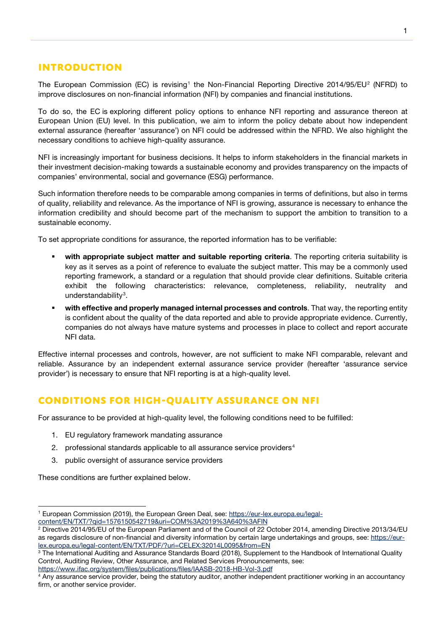# **Introduction**

The European Commission (EC) is revising<sup>[1](#page-2-0)</sup> the Non-Financial Reporting Directive [2](#page-2-1)014/95/EU<sup>2</sup> (NFRD) to improve disclosures on non-financial information (NFI) by companies and financial institutions.

To do so, the EC is exploring different policy options to enhance NFI reporting and assurance thereon at European Union (EU) level. In this publication, we aim to inform the policy debate about how independent external assurance (hereafter 'assurance') on NFI could be addressed within the NFRD. We also highlight the necessary conditions to achieve high-quality assurance.

NFI is increasingly important for business decisions. It helps to inform stakeholders in the financial markets in their investment decision-making towards a sustainable economy and provides transparency on the impacts of companies' environmental, social and governance (ESG) performance.

Such information therefore needs to be comparable among companies in terms of definitions, but also in terms of quality, reliability and relevance. As the importance of NFI is growing, assurance is necessary to enhance the information credibility and should become part of the mechanism to support the ambition to transition to a sustainable economy.

To set appropriate conditions for assurance, the reported information has to be verifiable:

- with appropriate subject matter and suitable reporting criteria. The reporting criteria suitability is key as it serves as a point of reference to evaluate the subject matter. This may be a commonly used reporting framework, a standard or a regulation that should provide clear definitions. Suitable criteria exhibit the following characteristics: relevance, completeness, reliability, neutrality and understandability<sup>[3](#page-2-2)</sup>.
- **ultrapter with effective and properly managed internal processes and controls.** That way, the reporting entity is confident about the quality of the data reported and able to provide appropriate evidence. Currently, companies do not always have mature systems and processes in place to collect and report accurate NFI data.

Effective internal processes and controls, however, are not sufficient to make NFI comparable, relevant and reliable. Assurance by an independent external assurance service provider (hereafter 'assurance service provider') is necessary to ensure that NFI reporting is at a high-quality level.

# **conditions for high-quality assurance on NFI**

For assurance to be provided at high-quality level, the following conditions need to be fulfilled:

- 1. EU regulatory framework mandating assurance
- 2. professional standards applicable to all assurance service providers<sup>[4](#page-2-3)</sup>
- 3. public oversight of assurance service providers

These conditions are further explained below.

<https://www.ifac.org/system/files/publications/files/IAASB-2018-HB-Vol-3.pdf>

<span id="page-2-0"></span><sup>&</sup>lt;sup>1</sup> European Commission (2019), the European Green Deal, see[: https://eur-lex.europa.eu/legal](https://eur-lex.europa.eu/legal-content/EN/TXT/?qid=1576150542719&uri=COM%3A2019%3A640%3AFIN)[content/EN/TXT/?qid=1576150542719&uri=COM%3A2019%3A640%3AFIN](https://eur-lex.europa.eu/legal-content/EN/TXT/?qid=1576150542719&uri=COM%3A2019%3A640%3AFIN)

<span id="page-2-1"></span><sup>2</sup> Directive 2014/95/EU of the European Parliament and of the Council of 22 October 2014, amending Directive 2013/34/EU as regards disclosure of non-financial and diversity information by certain large undertakings and groups, see: [https://eur](https://eur-lex.europa.eu/legal-content/EN/TXT/PDF/?uri=CELEX:32014L0095&from=EN)[lex.europa.eu/legal-content/EN/TXT/PDF/?uri=CELEX:32014L0095&from=EN](https://eur-lex.europa.eu/legal-content/EN/TXT/PDF/?uri=CELEX:32014L0095&from=EN)

<span id="page-2-2"></span><sup>&</sup>lt;sup>3</sup> The International Auditing and Assurance Standards Board (2018), Supplement to the Handbook of International Quality Control, Auditing Review, Other Assurance, and Related Services Pronouncements, see:

<span id="page-2-3"></span><sup>4</sup> Any assurance service provider, being the statutory auditor, another independent practitioner working in an accountancy firm, or another service provider.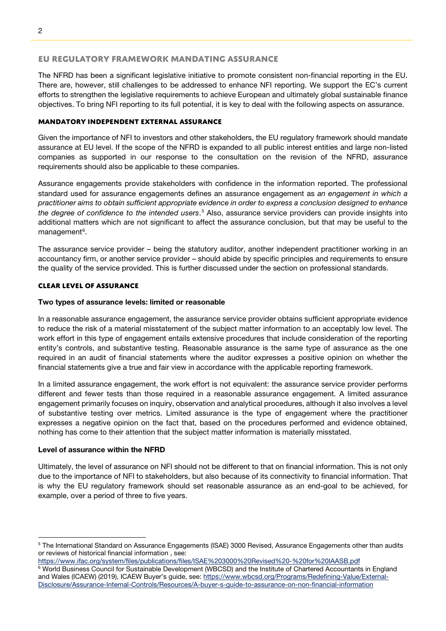#### **EU regulatory framework mandating assurance**

The NFRD has been a significant legislative initiative to promote consistent non-financial reporting in the EU. There are, however, still challenges to be addressed to enhance NFI reporting. We support the EC's current efforts to strengthen the legislative requirements to achieve European and ultimately global sustainable finance objectives. To bring NFI reporting to its full potential, it is key to deal with the following aspects on assurance.

# **Mandatory Independent external assurance**

Given the importance of NFI to investors and other stakeholders, the EU regulatory framework should mandate assurance at EU level. If the scope of the NFRD is expanded to all public interest entities and large non-listed companies as supported in our response to the consultation on the revision of the NFRD, assurance requirements should also be applicable to these companies.

Assurance engagements provide stakeholders with confidence in the information reported. The professional standard used for assurance engagements defines an assurance engagement as *an engagement in which a practitioner aims to obtain sufficient appropriate evidence in order to express a conclusion designed to enhance the degree of confidence to the intended users*. [5](#page-3-0) Also, assurance service providers can provide insights into additional matters which are not significant to affect the assurance conclusion, but that may be useful to the management<sup>[6](#page-3-1)</sup>.

The assurance service provider – being the statutory auditor, another independent practitioner working in an accountancy firm, or another service provider – should abide by specific principles and requirements to ensure the quality of the service provided. This is further discussed under the section on professional standards.

## **Clear Level of assurance**

## Two types of assurance levels: limited or reasonable

In a reasonable assurance engagement, the assurance service provider obtains sufficient appropriate evidence to reduce the risk of a material misstatement of the subject matter information to an acceptably low level. The work effort in this type of engagement entails extensive procedures that include consideration of the reporting entity's controls, and substantive testing. Reasonable assurance is the same type of assurance as the one required in an audit of financial statements where the auditor expresses a positive opinion on whether the financial statements give a true and fair view in accordance with the applicable reporting framework.

In a limited assurance engagement, the work effort is not equivalent: the assurance service provider performs different and fewer tests than those required in a reasonable assurance engagement. A limited assurance engagement primarily focuses on inquiry, observation and analytical procedures, although it also involves a level of substantive testing over metrics. Limited assurance is the type of engagement where the practitioner expresses a negative opinion on the fact that, based on the procedures performed and evidence obtained, nothing has come to their attention that the subject matter information is materially misstated.

#### Level of assurance within the NFRD

Ultimately, the level of assurance on NFI should not be different to that on financial information. This is not only due to the importance of NFI to stakeholders, but also because of its connectivity to financial information. That is why the EU regulatory framework should set reasonable assurance as an end-goal to be achieved, for example, over a period of three to five years.

<span id="page-3-0"></span><sup>5</sup> The International Standard on Assurance Engagements (ISAE) 3000 Revised, Assurance Engagements other than audits or reviews of historical financial information , see:

<https://www.ifac.org/system/files/publications/files/ISAE%203000%20Revised%20-%20for%20IAASB.pdf> <sup>6</sup> World Business Council for Sustainable Development (WBCSD) and the Institute of Chartered Accountants in England

<span id="page-3-1"></span>and Wales (ICAEW) (2019), ICAEW Buyer's guide, see[: https://www.wbcsd.org/Programs/Redefining-Value/External-](https://www.wbcsd.org/Programs/Redefining-Value/External-Disclosure/Assurance-Internal-Controls/Resources/A-buyer-s-guide-to-assurance-on-non-financial-information)[Disclosure/Assurance-Internal-Controls/Resources/A-buyer-s-guide-to-assurance-on-non-financial-information](https://www.wbcsd.org/Programs/Redefining-Value/External-Disclosure/Assurance-Internal-Controls/Resources/A-buyer-s-guide-to-assurance-on-non-financial-information)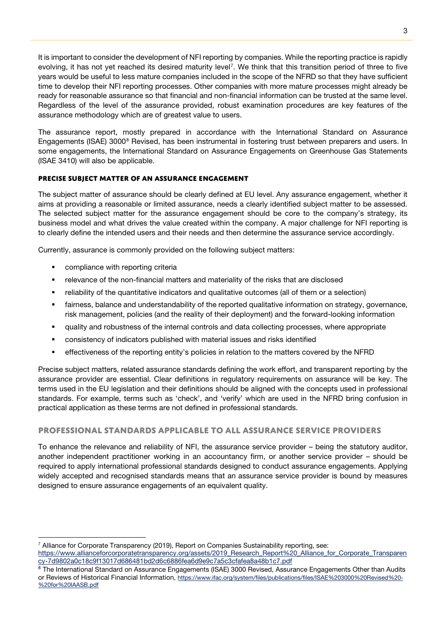It is important to consider the development of NFI reporting by companies. While the reporting practice is rapidly evolving, it has not yet reached its desired maturity level<sup>[7](#page-4-0)</sup>. We think that this transition period of three to five years would be useful to less mature companies included in the scope of the NFRD so that they have sufficient time to develop their NFI reporting processes. Other companies with more mature processes might already be ready for reasonable assurance so that financial and non-financial information can be trusted at the same level. Regardless of the level of the assurance provided, robust examination procedures are key features of the assurance methodology which are of greatest value to users.

The assurance report, mostly prepared in accordance with the International Standard on Assurance Engagements (ISAE) 3000<sup>[8](#page-4-1)</sup> Revised, has been instrumental in fostering trust between preparers and users. In some engagements, the International Standard on Assurance Engagements on Greenhouse Gas Statements (ISAE 3410) will also be applicable.

# **precise subject matter of an assurance engagement**

The subject matter of assurance should be clearly defined at EU level. Any assurance engagement, whether it aims at providing a reasonable or limited assurance, needs a clearly identified subject matter to be assessed. The selected subject matter for the assurance engagement should be core to the company's strategy, its business model and what drives the value created within the company. A major challenge for NFI reporting is to clearly define the intended users and their needs and then determine the assurance service accordingly.

Currently, assurance is commonly provided on the following subject matters:

- compliance with reporting criteria
- relevance of the non-financial matters and materiality of the risks that are disclosed
- reliability of the quantitative indicators and qualitative outcomes (all of them or a selection)
- fairness, balance and understandability of the reported qualitative information on strategy, governance, risk management, policies (and the reality of their deployment) and the forward-looking information
- quality and robustness of the internal controls and data collecting processes, where appropriate
- consistency of indicators published with material issues and risks identified
- effectiveness of the reporting entity's policies in relation to the matters covered by the NFRD

Precise subject matters, related assurance standards defining the work effort, and transparent reporting by the assurance provider are essential. Clear definitions in regulatory requirements on assurance will be key. The terms used in the EU legislation and their definitions should be aligned with the concepts used in professional standards. For example, terms such as 'check', and 'verify' which are used in the NFRD bring confusion in practical application as these terms are not defined in professional standards.

# **Professional standards applicable to all assurance service providers**

To enhance the relevance and reliability of NFI, the assurance service provider – being the statutory auditor, another independent practitioner working in an accountancy firm, or another service provider – should be required to apply international professional standards designed to conduct assurance engagements. Applying widely accepted and recognised standards means that an assurance service provider is bound by measures designed to ensure assurance engagements of an equivalent quality.

 $7$  Alliance for Corporate Transparency (2019), Report on Companies Sustainability reporting, see:

<span id="page-4-0"></span>[https://www.allianceforcorporatetransparency.org/assets/2019\\_Research\\_Report%20\\_Alliance\\_for\\_Corporate\\_Transparen](https://www.allianceforcorporatetransparency.org/assets/2019_Research_Report%20_Alliance_for_Corporate_Transparency-7d9802a0c18c9f13017d686481bd2d6c6886fea6d9e9c7a5c3cfafea8a48b1c7.pdf) [cy-7d9802a0c18c9f13017d686481bd2d6c6886fea6d9e9c7a5c3cfafea8a48b1c7.pdf](https://www.allianceforcorporatetransparency.org/assets/2019_Research_Report%20_Alliance_for_Corporate_Transparency-7d9802a0c18c9f13017d686481bd2d6c6886fea6d9e9c7a5c3cfafea8a48b1c7.pdf)

<span id="page-4-1"></span><sup>&</sup>lt;sup>8</sup> The International Standard on Assurance Engagements (ISAE) 3000 Revised, Assurance Engagements Other than Audits or Reviews of Historical Financial Information, [https://www.ifac.org/system/files/publications/files/ISAE%203000%20Revised%20-](https://www.ifac.org/system/files/publications/files/ISAE%203000%20Revised%20-%20for%20IAASB.pdf) [%20for%20IAASB.pdf](https://www.ifac.org/system/files/publications/files/ISAE%203000%20Revised%20-%20for%20IAASB.pdf)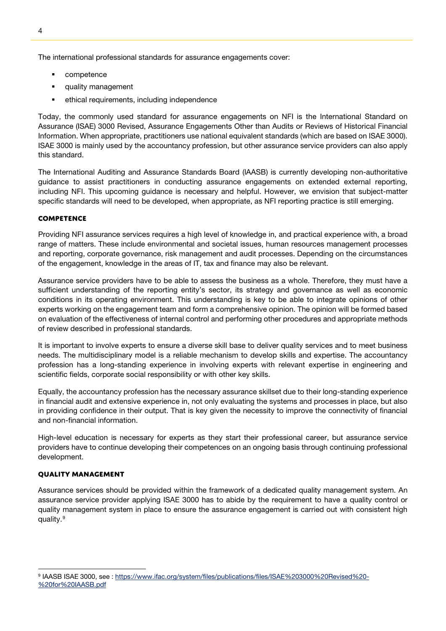The international professional standards for assurance engagements cover:

- **•** competence
- quality management
- ethical requirements, including independence

Today, the commonly used standard for assurance engagements on NFI is the International Standard on Assurance (ISAE) 3000 Revised, Assurance Engagements Other than Audits or Reviews of Historical Financial Information. When appropriate, practitioners use national equivalent standards (which are based on ISAE 3000). ISAE 3000 is mainly used by the accountancy profession, but other assurance service providers can also apply this standard.

The International Auditing and Assurance Standards Board (IAASB) is currently developing non-authoritative guidance to assist practitioners in conducting assurance engagements on extended external reporting, including NFI. This upcoming guidance is necessary and helpful. However, we envision that subject-matter specific standards will need to be developed, when appropriate, as NFI reporting practice is still emerging.

# **Competence**

Providing NFI assurance services requires a high level of knowledge in, and practical experience with, a broad range of matters. These include environmental and societal issues, human resources management processes and reporting, corporate governance, risk management and audit processes. Depending on the circumstances of the engagement, knowledge in the areas of IT, tax and finance may also be relevant.

Assurance service providers have to be able to assess the business as a whole. Therefore, they must have a sufficient understanding of the reporting entity's sector, its strategy and governance as well as economic conditions in its operating environment. This understanding is key to be able to integrate opinions of other experts working on the engagement team and form a comprehensive opinion. The opinion will be formed based on evaluation of the effectiveness of internal control and performing other procedures and appropriate methods of review described in professional standards.

It is important to involve experts to ensure a diverse skill base to deliver quality services and to meet business needs. The multidisciplinary model is a reliable mechanism to develop skills and expertise. The accountancy profession has a long-standing experience in involving experts with relevant expertise in engineering and scientific fields, corporate social responsibility or with other key skills.

Equally, the accountancy profession has the necessary assurance skillset due to their long-standing experience in financial audit and extensive experience in, not only evaluating the systems and processes in place, but also in providing confidence in their output. That is key given the necessity to improve the connectivity of financial and non-financial information.

High-level education is necessary for experts as they start their professional career, but assurance service providers have to continue developing their competences on an ongoing basis through continuing professional development.

# **Quality management**

Assurance services should be provided within the framework of a dedicated quality management system. An assurance service provider applying ISAE 3000 has to abide by the requirement to have a quality control or quality management system in place to ensure the assurance engagement is carried out with consistent high quality.<sup>[9](#page-5-0)</sup>

<span id="page-5-0"></span><sup>9</sup> IAASB ISAE 3000, see : [https://www.ifac.org/system/files/publications/files/ISAE%203000%20Revised%20-](https://www.ifac.org/system/files/publications/files/ISAE%203000%20Revised%20-%20for%20IAASB.pdf) [%20for%20IAASB.pdf](https://www.ifac.org/system/files/publications/files/ISAE%203000%20Revised%20-%20for%20IAASB.pdf)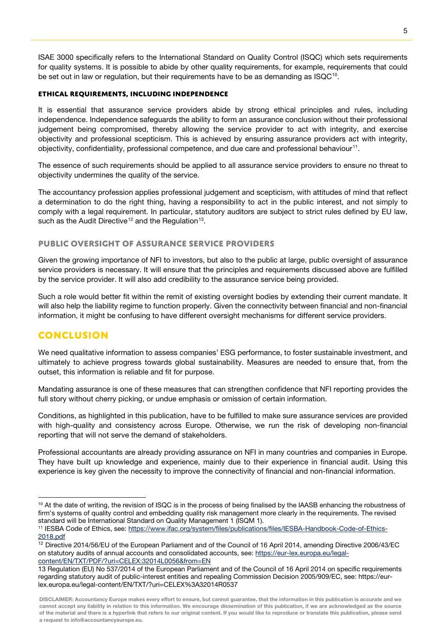ISAE 3000 specifically refers to the International Standard on Quality Control (ISQC) which sets requirements for quality systems. It is possible to abide by other quality requirements, for example, requirements that could be set out in law or regulation, but their requirements have to be as demanding as ISQC<sup>[10](#page-6-0)</sup>.

#### **Ethical requirements, including independence**

It is essential that assurance service providers abide by strong ethical principles and rules, including independence. Independence safeguards the ability to form an assurance conclusion without their professional judgement being compromised, thereby allowing the service provider to act with integrity, and exercise objectivity and professional scepticism. This is achieved by ensuring assurance providers act with integrity, objectivity, confidentiality, professional competence, and due care and professional behaviour<sup>11</sup>.

The essence of such requirements should be applied to all assurance service providers to ensure no threat to objectivity undermines the quality of the service.

The accountancy profession applies professional judgement and scepticism, with attitudes of mind that reflect a determination to do the right thing, having a responsibility to act in the public interest, and not simply to comply with a legal requirement. In particular, statutory auditors are subject to strict rules defined by EU law, such as the Audit Directive<sup>[12](#page-6-2)</sup> and the Regulation<sup>[13](#page-6-3)</sup>.

# **Public oversight of assurance service providers**

Given the growing importance of NFI to investors, but also to the public at large, public oversight of assurance service providers is necessary. It will ensure that the principles and requirements discussed above are fulfilled by the service provider. It will also add credibility to the assurance service being provided.

Such a role would better fit within the remit of existing oversight bodies by extending their current mandate. It will also help the liability regime to function properly. Given the connectivity between financial and non-financial information, it might be confusing to have different oversight mechanisms for different service providers.

# **Conclusion**

We need qualitative information to assess companies' ESG performance, to foster sustainable investment, and ultimately to achieve progress towards global sustainability. Measures are needed to ensure that, from the outset, this information is reliable and fit for purpose.

Mandating assurance is one of these measures that can strengthen confidence that NFI reporting provides the full story without cherry picking, or undue emphasis or omission of certain information.

Conditions, as highlighted in this publication, have to be fulfilled to make sure assurance services are provided with high-quality and consistency across Europe. Otherwise, we run the risk of developing non-financial reporting that will not serve the demand of stakeholders.

Professional accountants are already providing assurance on NFI in many countries and companies in Europe. They have built up knowledge and experience, mainly due to their experience in financial audit. Using this experience is key given the necessity to improve the connectivity of financial and non-financial information.

<span id="page-6-0"></span><sup>&</sup>lt;sup>10</sup> At the date of writing, the revision of ISQC is in the process of being finalised by the IAASB enhancing the robustness of firm's systems of quality control and embedding quality risk management more clearly in the requirements. The revised standard will be International Standard on Quality Management 1 (ISQM 1).

<span id="page-6-1"></span><sup>&</sup>lt;sup>11</sup> IESBA Code of Ethics, see: [https://www.ifac.org/system/files/publications/files/IESBA-Handbook-Code-of-Ethics-](https://www.ifac.org/system/files/publications/files/IESBA-Handbook-Code-of-Ethics-2018.pdf)[2018.pdf](https://www.ifac.org/system/files/publications/files/IESBA-Handbook-Code-of-Ethics-2018.pdf)

<span id="page-6-2"></span><sup>&</sup>lt;sup>12</sup> Directive 2014/56/EU of the European Parliament and of the Council of 16 April 2014, amending Directive 2006/43/EC on statutory audits of annual accounts and consolidated accounts, see: [https://eur-lex.europa.eu/legal](https://eur-lex.europa.eu/legal-content/EN/TXT/PDF/?uri=CELEX:32014L0056&from=EN)[content/EN/TXT/PDF/?uri=CELEX:32014L0056&from=EN](https://eur-lex.europa.eu/legal-content/EN/TXT/PDF/?uri=CELEX:32014L0056&from=EN)

<span id="page-6-3"></span><sup>13</sup> Regulation (EU) No 537/2014 of the European Parliament and of the Council of 16 April 2014 on specific requirements regarding statutory audit of public-interest entities and repealing Commission Decision 2005/909/EC, see[: https://eur](https://eur-lex.europa.eu/legal-content/EN/TXT/?uri=CELEX%3A32014R0537)[lex.europa.eu/legal-content/EN/TXT/?uri=CELEX%3A32014R0537](https://eur-lex.europa.eu/legal-content/EN/TXT/?uri=CELEX%3A32014R0537)

DISCLAIMER: Accountancy Europe makes every effort to ensure, but cannot guarantee, that the information in this publication is accurate and we cannot accept any liability in relation to this information. We encourage dissemination of this publication, if we are acknowledged as the source of the material and there is a hyperlink that refers to our original content. If you would like to reproduce or translate this publication, please send a request to info@accountancyeurope.eu.